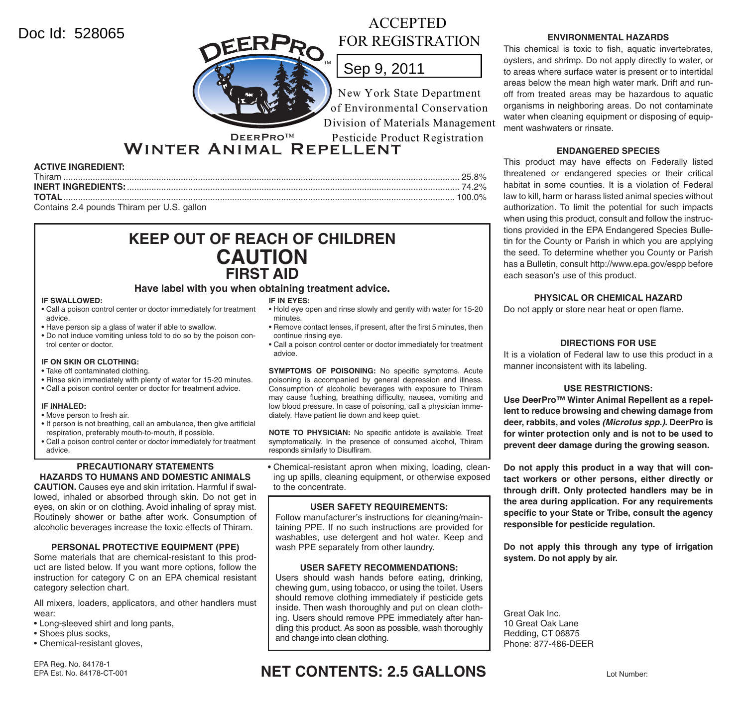## Doc Id: 528065



# ACCEPTED FOR REGISTRATION

# Sep 9, 2011

New York State Department of Environmental Conservation Division of Materials Management Pesticide Product Registration

Winter Animal Repellent

### **ACTIVE INGREDIENT:**

| Thiran                                     |  |
|--------------------------------------------|--|
|                                            |  |
| ΤΩΤΔΙ                                      |  |
| Contains 2.4 pounds Thiram per U.S. gallon |  |

## **KEEP OUT OF REACH OF CHILDREN CAUTION FIRST AID**

**Have label with you when obtaining treatment advice.**

#### **IF SWALLOWED:**

- Call a poison control center or doctor immediately for treatment advice.
- Have person sip a glass of water if able to swallow.
- Do not induce vomiting unless told to do so by the poison control center or doctor.

### **IF ON SKIN OR CLOTHING:**

- Take off contaminated clothing.
- Rinse skin immediately with plenty of water for 15-20 minutes.
- Call a poison control center or doctor for treatment advice.

#### **IF INHALED:**

- Move person to fresh air.
- If person is not breathing, call an ambulance, then give artificial respiration, preferably mouth-to-mouth, if possible.
- Call a poison control center or doctor immediately for treatment advice.

#### **PRECAUTIONARY STATEMENTS HAZARDS TO HUMANS AND DOMESTIC ANIMALS**

**CAUTION.** Causes eye and skin irritation. Harmful if swallowed, inhaled or absorbed through skin. Do not get in eyes, on skin or on clothing. Avoid inhaling of spray mist. Routinely shower or bathe after work. Consumption of alcoholic beverages increase the toxic effects of Thiram.

### **PERSONAL PROTECTIVE EQUIPMENT (PPE)**

Some materials that are chemical-resistant to this product are listed below. If you want more options, follow the instruction for category C on an EPA chemical resistant category selection chart.

All mixers, loaders, applicators, and other handlers must wear:

- Long-sleeved shirt and long pants,
- Shoes plus socks,
- Chemical-resistant gloves,

#### **IF IN EYES:**

- Hold eye open and rinse slowly and gently with water for 15-20 minutes.
- Remove contact lenses, if present, after the first 5 minutes, then continue rinsing eye.
- Call a poison control center or doctor immediately for treatment advice.

**SYMPTOMS OF POISONING:** No specific symptoms. Acute poisoning is accompanied by general depression and illness. Consumption of alcoholic beverages with exposure to Thiram may cause flushing, breathing difficulty, nausea, vomiting and low blood pressure. In case of poisoning, call a physician immediately. Have patient lie down and keep quiet.

**NOTE TO PHYSICIAN:** No specific antidote is available. Treat symptomatically. In the presence of consumed alcohol, Thiram responds similarly to Disulfiram.

• Chemical-resistant apron when mixing, loading, cleaning up spills, cleaning equipment, or otherwise exposed to the concentrate.

### **USER SAFETY REQUIREMENTS:**

Follow manufacturer's instructions for cleaning/maintaining PPE. If no such instructions are provided for washables, use detergent and hot water. Keep and wash PPE separately from other laundry.

## **USER SAFETY RECOMMENDATIONS:**

Users should wash hands before eating, drinking, chewing gum, using tobacco, or using the toilet. Users should remove clothing immediately if pesticide gets inside. Then wash thoroughly and put on clean clothing. Users should remove PPE immediately after handling this product. As soon as possible, wash thoroughly and change into clean clothing.

## **ENVIRONMENTAL HAZARDS**

This chemical is toxic to fish, aquatic invertebrates, oysters, and shrimp. Do not apply directly to water, or to areas where surface water is present or to intertidal areas below the mean high water mark. Drift and runoff from treated areas may be hazardous to aquatic organisms in neighboring areas. Do not contaminate water when cleaning equipment or disposing of equipment washwaters or rinsate.

### **ENDANGERED SPECIES**

This product may have effects on Federally listed threatened or endangered species or their critical habitat in some counties. It is a violation of Federal law to kill, harm or harass listed animal species without authorization. To limit the potential for such impacts when using this product, consult and follow the instructions provided in the EPA Endangered Species Bulletin for the County or Parish in which you are applying the seed. To determine whether you County or Parish has a Bulletin, consult http://www.epa.gov/espp before each season's use of this product.

## **PHYSICAL OR CHEMICAL HAZARD**

Do not apply or store near heat or open flame.

### **DIRECTIONS FOR USE**

It is a violation of Federal law to use this product in a manner inconsistent with its labeling.

## **USE RESTRICTIONS:**

**Use DeerPro™ Winter Animal Repellent as a repellent to reduce browsing and chewing damage from deer, rabbits, and voles** *(Microtus spp.)***. DeerPro is for winter protection only and is not to be used to prevent deer damage during the growing season.**

**Do not apply this product in a way that will contact workers or other persons, either directly or through drift. Only protected handlers may be in the area during application. For any requirements**  specific to your State or Tribe, consult the agency **responsible for pesticide regulation.**

**Do not apply this through any type of irrigation system. Do not apply by air.**

Great Oak Inc. 10 Great Oak Lane Redding, CT 06875 Phone: 877-486-DEER

## EPA Est. No. 84178-CT-001 **NET CONTENTS: 2.5 GALLONS**